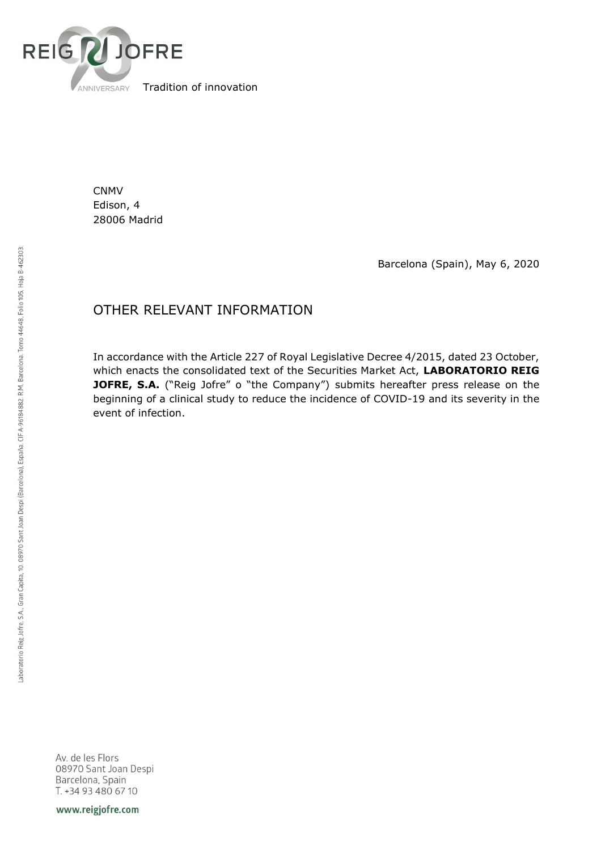

CNMV Edison, 4 28006 Madrid

Barcelona (Spain), May 6, 2020

## OTHER RELEVANT INFORMATION

In accordance with the Article 227 of Royal Legislative Decree 4/2015, dated 23 October, which enacts the consolidated text of the Securities Market Act, **LABORATORIO REIG JOFRE, S.A.** ("Reig Jofre" o "the Company") submits hereafter press release on the beginning of a clinical study to reduce the incidence of COVID-19 and its severity in the event of infection.

Av. de les Flors 08970 Sant Joan Despi Barcelona, Spain T. +34 93 480 67 10

www.reigjofre.com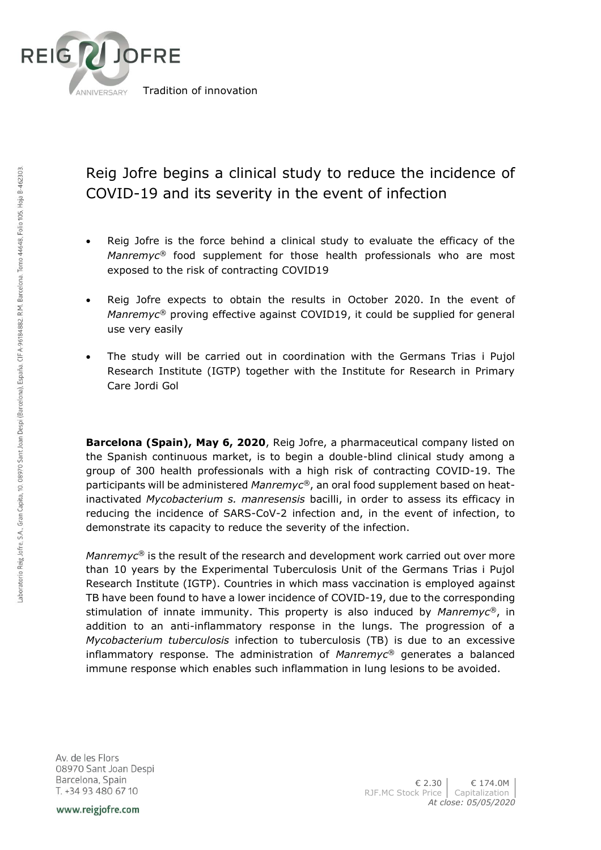

## Reig Jofre begins a clinical study to reduce the incidence of COVID-19 and its severity in the event of infection

- Reig Jofre is the force behind a clinical study to evaluate the efficacy of the *Manremyc®* food supplement for those health professionals who are most exposed to the risk of contracting COVID19
- Reig Jofre expects to obtain the results in October 2020. In the event of *Manremyc®* proving effective against COVID19, it could be supplied for general use very easily
- The study will be carried out in coordination with the Germans Trias i Pujol Research Institute (IGTP) together with the Institute for Research in Primary Care Jordi Gol

**Barcelona (Spain), May 6, 2020**, Reig Jofre, a pharmaceutical company listed on the Spanish continuous market, is to begin a double-blind clinical study among a group of 300 health professionals with a high risk of contracting COVID-19. The participants will be administered *Manremyc®*, an oral food supplement based on heatinactivated *Mycobacterium s. manresensis* bacilli, in order to assess its efficacy in reducing the incidence of SARS-CoV-2 infection and, in the event of infection, to demonstrate its capacity to reduce the severity of the infection.

*Manremyc<sup>®</sup>* is the result of the research and development work carried out over more than 10 years by the Experimental Tuberculosis Unit of the Germans Trias i Pujol Research Institute (IGTP). Countries in which mass vaccination is employed against TB have been found to have a lower incidence of COVID-19, due to the corresponding stimulation of innate immunity. This property is also induced by *Manremyc®*, in addition to an anti-inflammatory response in the lungs. The progression of a *Mycobacterium tuberculosis* infection to tuberculosis (TB) is due to an excessive inflammatory response. The administration of *Manremyc®* generates a balanced immune response which enables such inflammation in lung lesions to be avoided.

Av. de les Flors 08970 Sant Joan Despi Barcelona, Spain T. +34 93 480 67 10